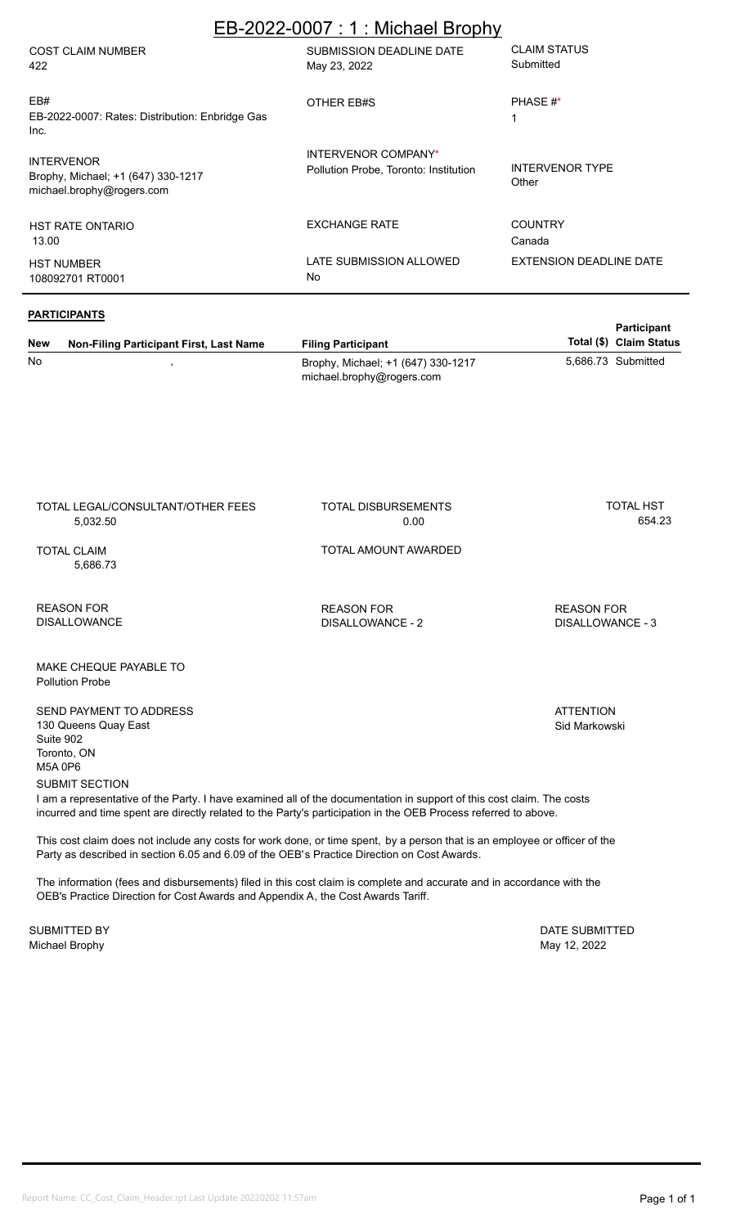## EB-2022-0007 : 1 : Michael Brophy

| <b>COST CLAIM NUMBER</b><br>422                                                      | SUBMISSION DEADLINE DATE<br>May 23, 2022                     | <b>CLAIM STATUS</b><br>Submitted |
|--------------------------------------------------------------------------------------|--------------------------------------------------------------|----------------------------------|
| EB#<br>EB-2022-0007: Rates: Distribution: Enbridge Gas<br>Inc.                       | OTHER EB#S                                                   | PHASE #*                         |
| <b>INTERVENOR</b><br>Brophy, Michael; +1 (647) 330-1217<br>michael.brophy@rogers.com | INTERVENOR COMPANY*<br>Pollution Probe, Toronto: Institution | <b>INTERVENOR TYPE</b><br>Other  |
| <b>HST RATE ONTARIO</b><br>13.00                                                     | <b>EXCHANGE RATE</b>                                         | <b>COUNTRY</b><br>Canada         |
| <b>HST NUMBER</b><br>108092701 RT0001                                                | LATE SUBMISSION ALLOWED<br>No                                | <b>EXTENSION DEADLINE DATE</b>   |

#### **PARTICIPANTS**

TOTAL LEGAL/CONSULTANT/OTHER FEES

| <b>New</b> | Non-Filing Participant First, Last Name | <b>Filing Participant</b>                                       | <b>Participant</b><br>Total (\$) Claim Status |
|------------|-----------------------------------------|-----------------------------------------------------------------|-----------------------------------------------|
| No         |                                         | Brophy, Michael; +1 (647) 330-1217<br>michael.brophy@rogers.com | 5,686.73 Submitted                            |

TOTAL DISBURSEMENTS

| 5,032.50                                                                               | 0.00                                  | 654.23                                |
|----------------------------------------------------------------------------------------|---------------------------------------|---------------------------------------|
| TOTAL CLAIM<br>5,686.73                                                                | TOTAL AMOUNT AWARDED                  |                                       |
| REASON FOR<br>DISALLOWANCE                                                             | <b>REASON FOR</b><br>DISALLOWANCE - 2 | <b>REASON FOR</b><br>DISALLOWANCE - 3 |
| MAKE CHEQUE PAYABLE TO<br><b>Pollution Probe</b>                                       |                                       |                                       |
| SEND PAYMENT TO ADDRESS<br>130 Queens Quay East<br>Suite 902<br>Toronto, ON<br>M5A 0P6 |                                       | <b>ATTENTION</b><br>Sid Markowski     |

SUBMIT SECTION

I am a representative of the Party. I have examined all of the documentation in support of this cost claim. The costs incurred and time spent are directly related to the Party's participation in the OEB Process referred to above.

This cost claim does not include any costs for work done, or time spent, by a person that is an employee or officer of the Party as described in section 6.05 and 6.09 of the OEB's Practice Direction on Cost Awards.

The information (fees and disbursements) filed in this cost claim is complete and accurate and in accordance with the OEB's Practice Direction for Cost Awards and Appendix A, the Cost Awards Tariff.

Michael Brophy May 12, 2022 SUBMITTED BY DATE SUBMITTED

TOTAL HST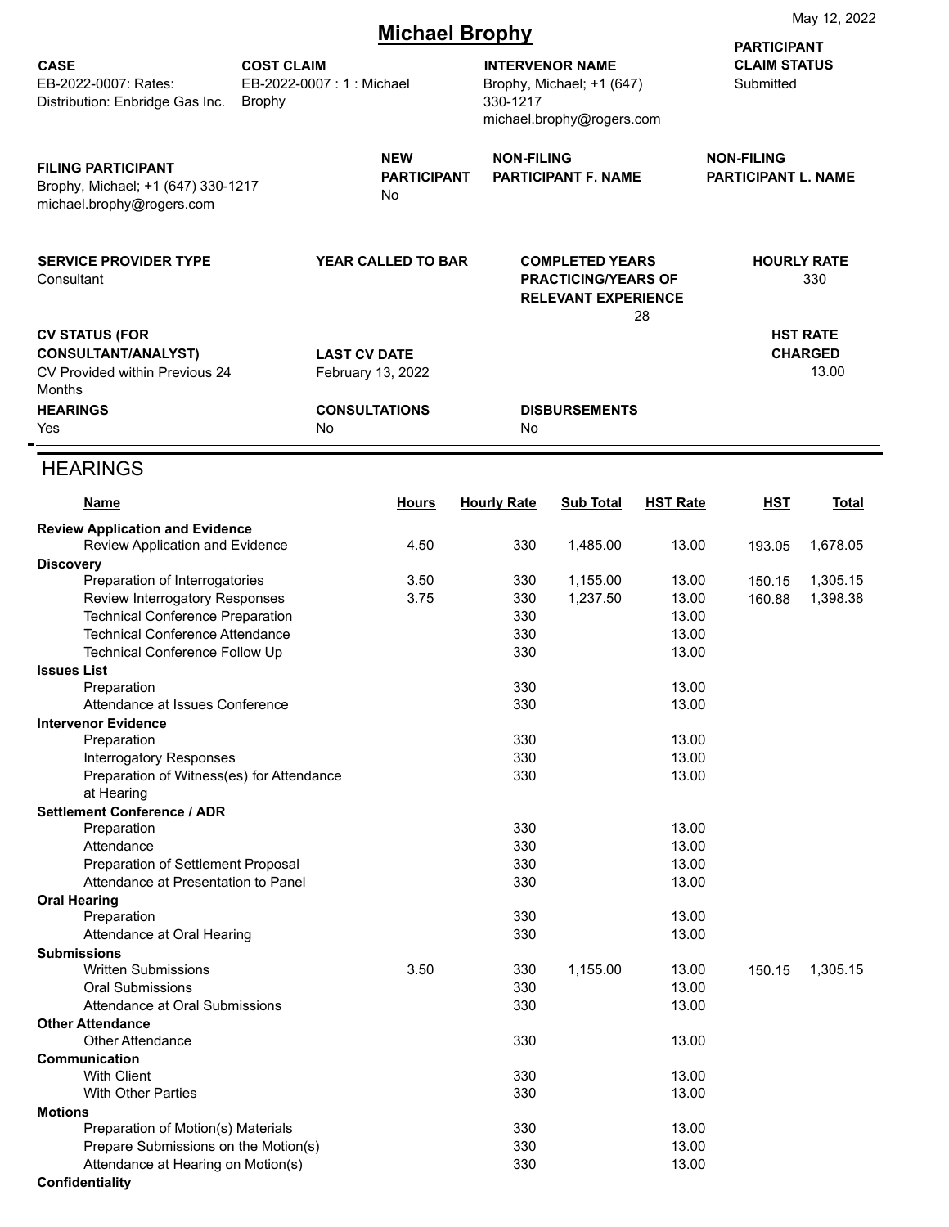|                                                                                              |                                    |                                        |                       |                                                                                    |                 |                                                 | May 12, 2022              |
|----------------------------------------------------------------------------------------------|------------------------------------|----------------------------------------|-----------------------|------------------------------------------------------------------------------------|-----------------|-------------------------------------------------|---------------------------|
|                                                                                              |                                    |                                        | <b>Michael Brophy</b> |                                                                                    |                 | <b>PARTICIPANT</b>                              |                           |
| <b>CASE</b><br>EB-2022-0007: Rates:<br>Distribution: Enbridge Gas Inc.                       | <b>COST CLAIM</b><br><b>Brophy</b> | EB-2022-0007: 1: Michael               | 330-1217              | <b>INTERVENOR NAME</b><br>Brophy, Michael; +1 (647)                                |                 | <b>CLAIM STATUS</b><br>Submitted                |                           |
|                                                                                              |                                    |                                        |                       | michael.brophy@rogers.com                                                          |                 |                                                 |                           |
| <b>FILING PARTICIPANT</b><br>Brophy, Michael; +1 (647) 330-1217<br>michael.brophy@rogers.com |                                    | <b>NEW</b><br><b>PARTICIPANT</b><br>No | <b>NON-FILING</b>     | <b>PARTICIPANT F. NAME</b>                                                         |                 | <b>NON-FILING</b><br><b>PARTICIPANT L. NAME</b> |                           |
| <b>SERVICE PROVIDER TYPE</b><br>Consultant                                                   |                                    | <b>YEAR CALLED TO BAR</b>              |                       | <b>COMPLETED YEARS</b><br><b>PRACTICING/YEARS OF</b><br><b>RELEVANT EXPERIENCE</b> | 28              |                                                 | <b>HOURLY RATE</b><br>330 |
| <b>CV STATUS (FOR</b>                                                                        |                                    |                                        |                       |                                                                                    |                 |                                                 | <b>HST RATE</b>           |
| <b>CONSULTANT/ANALYST)</b>                                                                   |                                    | <b>LAST CV DATE</b>                    |                       |                                                                                    |                 |                                                 | <b>CHARGED</b>            |
| CV Provided within Previous 24<br><b>Months</b>                                              |                                    | February 13, 2022                      |                       |                                                                                    |                 |                                                 | 13.00                     |
| <b>HEARINGS</b>                                                                              |                                    | <b>CONSULTATIONS</b>                   |                       | <b>DISBURSEMENTS</b>                                                               |                 |                                                 |                           |
| Yes                                                                                          |                                    | No                                     | No                    |                                                                                    |                 |                                                 |                           |
| <b>HEARINGS</b>                                                                              |                                    |                                        |                       |                                                                                    |                 |                                                 |                           |
|                                                                                              |                                    |                                        |                       |                                                                                    |                 |                                                 |                           |
| Name                                                                                         |                                    | <b>Hours</b>                           | <b>Hourly Rate</b>    | <b>Sub Total</b>                                                                   | <b>HST Rate</b> | <u>HST</u>                                      | <b>Total</b>              |
| <b>Review Application and Evidence</b><br>Review Application and Evidence                    |                                    | 4.50                                   | 330                   | 1,485.00                                                                           | 13.00           | 193.05                                          | 1,678.05                  |
| <b>Discovery</b>                                                                             |                                    |                                        |                       |                                                                                    |                 |                                                 |                           |
| Preparation of Interrogatories                                                               |                                    | 3.50                                   | 330                   | 1,155.00                                                                           | 13.00           | 150.15                                          | 1,305.15                  |
| Review Interrogatory Responses<br><b>Technical Conference Preparation</b>                    |                                    | 3.75                                   | 330<br>330            | 1,237.50                                                                           | 13.00<br>13.00  | 160.88                                          | 1,398.38                  |
| <b>Technical Conference Attendance</b>                                                       |                                    |                                        | 330                   |                                                                                    | 13.00           |                                                 |                           |
| Technical Conference Follow Up                                                               |                                    |                                        | 330                   |                                                                                    | 13.00           |                                                 |                           |
| <b>Issues List</b>                                                                           |                                    |                                        |                       |                                                                                    |                 |                                                 |                           |
| Preparation<br>Attendance at Issues Conference                                               |                                    |                                        | 330<br>330            |                                                                                    | 13.00<br>13.00  |                                                 |                           |
| <b>Intervenor Evidence</b>                                                                   |                                    |                                        |                       |                                                                                    |                 |                                                 |                           |
| Preparation                                                                                  |                                    |                                        | 330                   |                                                                                    | 13.00           |                                                 |                           |
| <b>Interrogatory Responses</b>                                                               |                                    |                                        | 330                   |                                                                                    | 13.00           |                                                 |                           |
| Preparation of Witness(es) for Attendance<br>at Hearing                                      |                                    |                                        | 330                   |                                                                                    | 13.00           |                                                 |                           |
| <b>Settlement Conference / ADR</b>                                                           |                                    |                                        |                       |                                                                                    |                 |                                                 |                           |
| Preparation                                                                                  |                                    |                                        | 330                   |                                                                                    | 13.00           |                                                 |                           |
| Attendance<br>Preparation of Settlement Proposal                                             |                                    |                                        | 330<br>330            |                                                                                    | 13.00<br>13.00  |                                                 |                           |
| Attendance at Presentation to Panel                                                          |                                    |                                        | 330                   |                                                                                    | 13.00           |                                                 |                           |
| <b>Oral Hearing</b>                                                                          |                                    |                                        |                       |                                                                                    |                 |                                                 |                           |
| Preparation<br>Attendance at Oral Hearing                                                    |                                    |                                        | 330<br>330            |                                                                                    | 13.00<br>13.00  |                                                 |                           |
| <b>Submissions</b>                                                                           |                                    |                                        |                       |                                                                                    |                 |                                                 |                           |
| <b>Written Submissions</b>                                                                   |                                    | 3.50                                   | 330                   | 1,155.00                                                                           | 13.00           | 150.15                                          | 1,305.15                  |
| <b>Oral Submissions</b><br>Attendance at Oral Submissions                                    |                                    |                                        | 330<br>330            |                                                                                    | 13.00<br>13.00  |                                                 |                           |
| <b>Other Attendance</b>                                                                      |                                    |                                        |                       |                                                                                    |                 |                                                 |                           |
| <b>Other Attendance</b>                                                                      |                                    |                                        | 330                   |                                                                                    | 13.00           |                                                 |                           |
| Communication                                                                                |                                    |                                        |                       |                                                                                    |                 |                                                 |                           |
| <b>With Client</b><br><b>With Other Parties</b>                                              |                                    |                                        | 330<br>330            |                                                                                    | 13.00<br>13.00  |                                                 |                           |
| <b>Motions</b>                                                                               |                                    |                                        |                       |                                                                                    |                 |                                                 |                           |
| Preparation of Motion(s) Materials                                                           |                                    |                                        | 330                   |                                                                                    | 13.00           |                                                 |                           |
| Prepare Submissions on the Motion(s)<br>Attendance at Hearing on Motion(s)                   |                                    |                                        | 330<br>330            |                                                                                    | 13.00<br>13.00  |                                                 |                           |
| Confidentiality                                                                              |                                    |                                        |                       |                                                                                    |                 |                                                 |                           |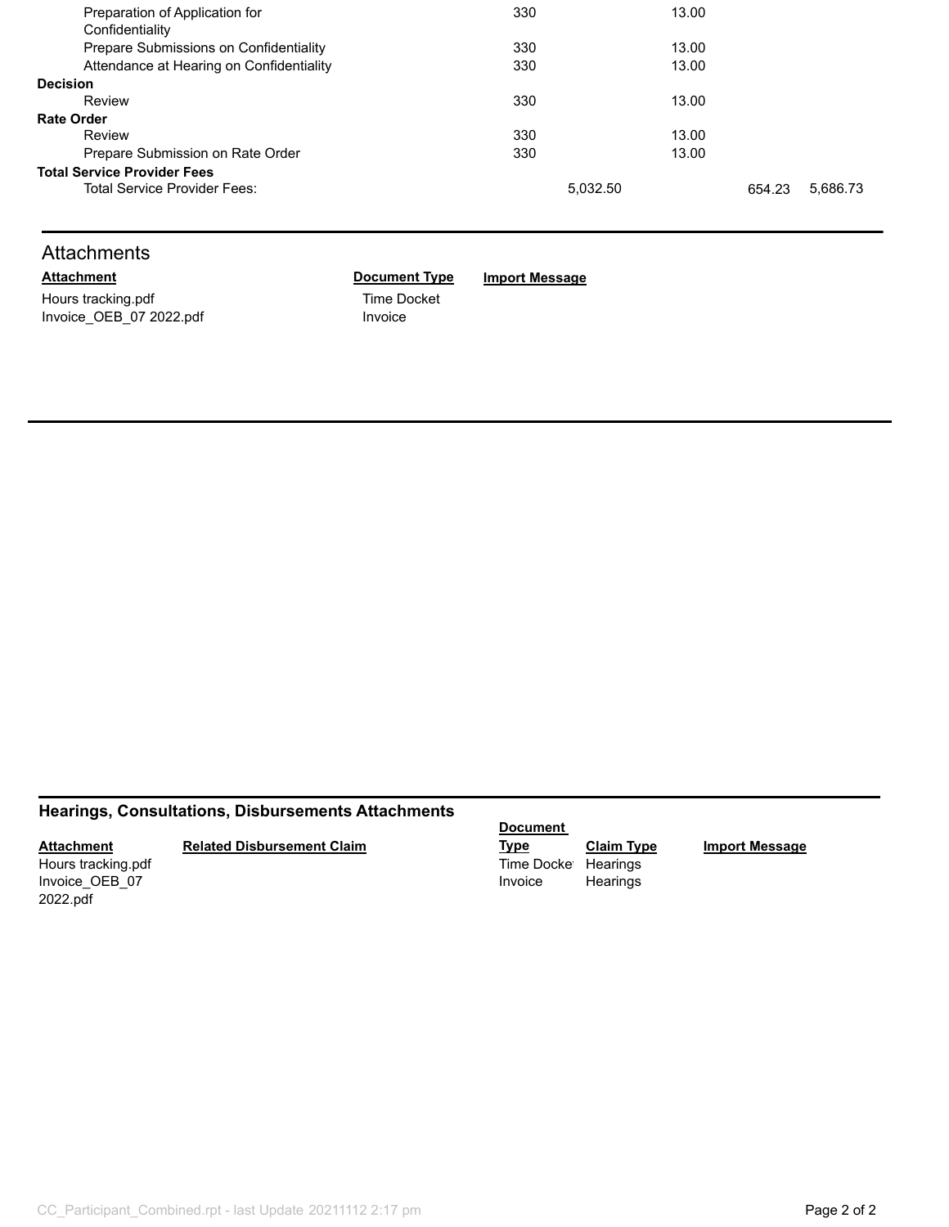| Preparation of Application for           | 330      | 13.00 |        |          |
|------------------------------------------|----------|-------|--------|----------|
| Confidentiality                          |          |       |        |          |
| Prepare Submissions on Confidentiality   | 330      | 13.00 |        |          |
| Attendance at Hearing on Confidentiality | 330      | 13.00 |        |          |
| <b>Decision</b>                          |          |       |        |          |
| Review                                   | 330      | 13.00 |        |          |
| <b>Rate Order</b>                        |          |       |        |          |
| Review                                   | 330      | 13.00 |        |          |
| Prepare Submission on Rate Order         | 330      | 13.00 |        |          |
| <b>Total Service Provider Fees</b>       |          |       |        |          |
| Total Service Provider Fees:             | 5.032.50 |       | 654.23 | 5,686.73 |
|                                          |          |       |        |          |

## **Attachments**

Hours tracking.pdf Time Docket Invoice\_OEB\_07 2022.pdf Invoice

**Attachment Document Type Import Message**

## **Hearings, Consultations, Disbursements Attachments**

#### **Attachment**

#### **Related Disbursement Claim**

Invoice\_OEB\_07 2022.pdf

## **Document**

**Type Claim Type Import Message** Hours tracking.pdf **Time Docket Hearings** Invoice Hearings